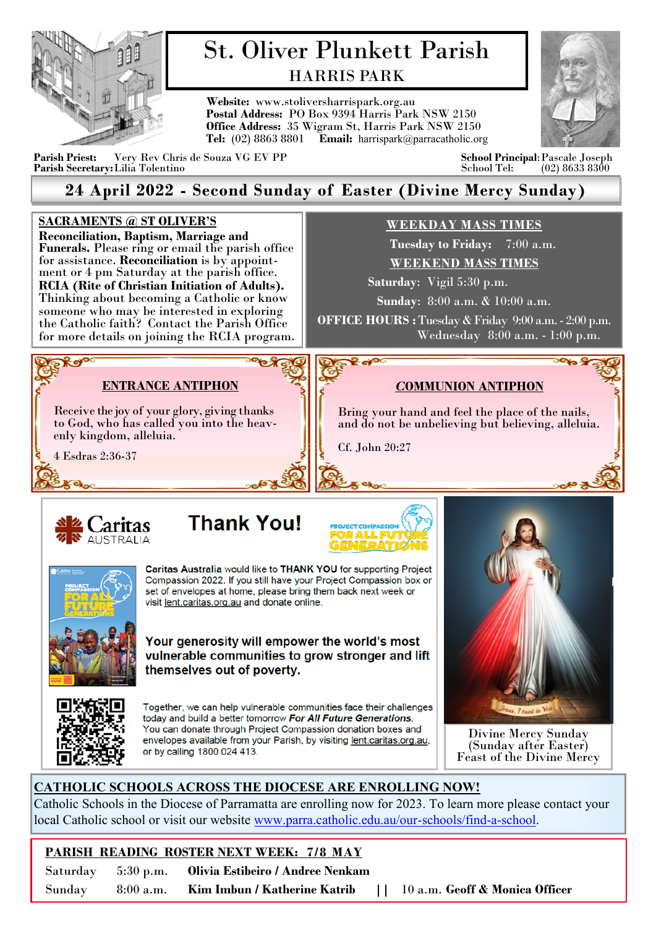

# St. Oliver Plunkett Parish HARRIS PARK

**Website:** www.stoliversharrispark.org.au **Postal Address:** PO Box 9394 Harris Park NSW 2150 **Office Address:** 35 Wigram St, Harris Park NSW 2150 **Tel:** (02) 8863 8801 **Email:** [harrispark@parracatholic.org](mailto:harrispark@parracatholic.org)



 $m_1$ 

**Parish Priest:** Very Rev Chris de Souza VG EV PP **School Principal**:Pascale Joseph **Parish Secretary:** Lilia Tolentino

## **24 April 2022 - Second Sunday of Easter (Divine Mercy Sunday)**

### **SACRAMENTS @ ST OLIVER'S**

**Reconciliation, Baptism, Marriage and Funerals.** Please ring or email the parish office for assistance. **Reconciliation** is by appointment or 4 pm Saturday at the parish office. **RCIA (Rite of Christian Initiation of Adults).**  Thinking about becoming a Catholic or know someone who may be interested in exploring the Catholic faith? Contact the Parish Office for more details on joining the RCIA program.

## **WEEKDAY MASS TIMES**

 **Tuesday to Friday:** 7:00 a.m. **WEEKEND MASS TIMES**

 **Saturday**: Vigil 5:30 p.m.

**Sunday**: 8:00 a.m. & 10:00 a.m.

**OFFICE HOURS :** Tuesday & Friday 9:00 a.m. - 2:00 p.m. Wednesday 8:00 a.m. - 1:00 p.m.

*C***OMMUNION ANTIPHON**

Bring your hand and feel the place of the nails, and do not be unbelieving but believing, alleluia.

## **ENTRANCE ANTIPHON**

Receive the joy of your glory, giving thanks to God, who has called you into the heavenly kingdom, alleluia.

4 Esdras 2:36-37

**PROP** 





Cf. John 20:27

உள



Caritas Australia would like to THANK YOU for supporting Project Compassion 2022. If you still have your Project Compassion box or set of envelopes at home, please bring them back next week or visit lent.caritas.org.au and donate online.



Your generosity will empower the world's most vulnerable communities to grow stronger and lift themselves out of poverty.



Together, we can help vulnerable communities face their challenges today and build a better tomorrow For All Future Generations. You can donate through Project Compassion donation boxes and envelopes available from your Parish, by visiting lent.caritas.org.au, or by calling 1800 024 413.



Divine Mercy Sunday (Sunday after Easter) Feast of the Divine Mercy

## **CATHOLIC SCHOOLS ACROSS THE DIOCESE ARE ENROLLING NOW!**

Catholic Schools in the Diocese of Parramatta are enrolling now for 2023. To learn more please contact your local Catholic school or visit our website [www.parra.catholic.edu.au/our](http://www.parra.catholic.edu.au/our-schools/find-a-school)-schools/find-a-school.

## **PARISH READING ROSTER NEXT WEEK: 7/8 MAY**

Saturday 5:30 p.m. **Olivia Estibeiro / Andree Nenkam** 

Sunday 8:00 a.m. **Kim Imbun / Katherine Katrib ||** 10 a.m. **Geoff & Monica Officer**